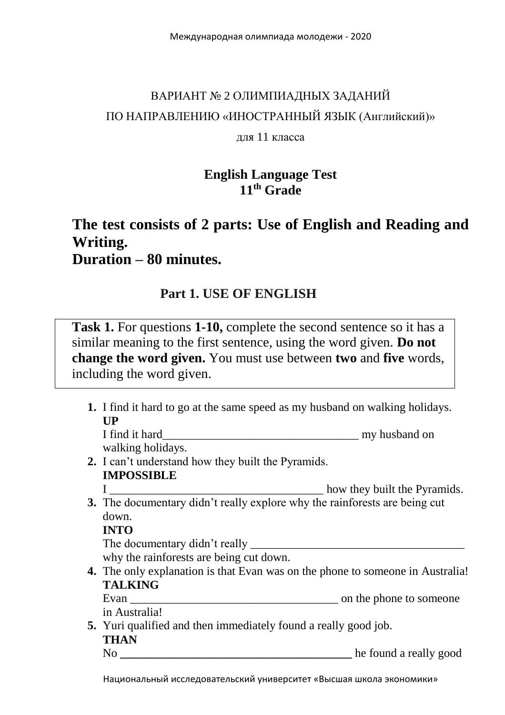# ВАРИАНТ № 2 ОЛИМПИАДНЫХ ЗАДАНИЙ ПО НАПРАВЛЕНИЮ «ИНОСТРАННЫЙ ЯЗЫК (Английский)»

для 11 класса

# **English Language Test 11 th Grade**

# **The test consists of 2 parts: Use of English and Reading and Writing. Duration – 80 minutes.**

# **Part 1. USE OF ENGLISH**

**Task 1.** For questions **1-10,** complete the second sentence so it has a similar meaning to the first sentence, using the word given. **Do not change the word given.** You must use between **two** and **five** words, including the word given.

**1.** I find it hard to go at the same speed as my husband on walking holidays. **UP**

I find it hard with the state of the state of the state of the state of the state of the state of the state of the state of the state of the state of the state of the state of the state of the state of the state of the sta walking holidays.

- **2.** I can't understand how they built the Pyramids. **IMPOSSIBLE**
	- I \_\_\_\_\_\_\_\_\_\_\_\_\_\_\_\_\_\_\_\_\_\_\_\_\_\_\_\_\_\_\_\_\_\_\_\_ how they built the Pyramids.
- **3.** The documentary didn't really explore why the rainforests are being cut down.

**INTO**

The documentary didn't really

why the rainforests are being cut down.

**4.** The only explanation is that Evan was on the phone to someone in Australia! **TALKING**

Evan contract the phone to someone on the phone to someone in Australia!

**5.** Yuri qualified and then immediately found a really good job. **THAN**

No **\_\_\_\_\_\_\_\_\_\_\_\_\_\_\_\_\_\_\_\_\_\_\_\_\_\_\_\_\_\_\_\_\_\_\_\_\_\_\_** he found a really good

Национальный исследовательский университет «Высшая школа экономики»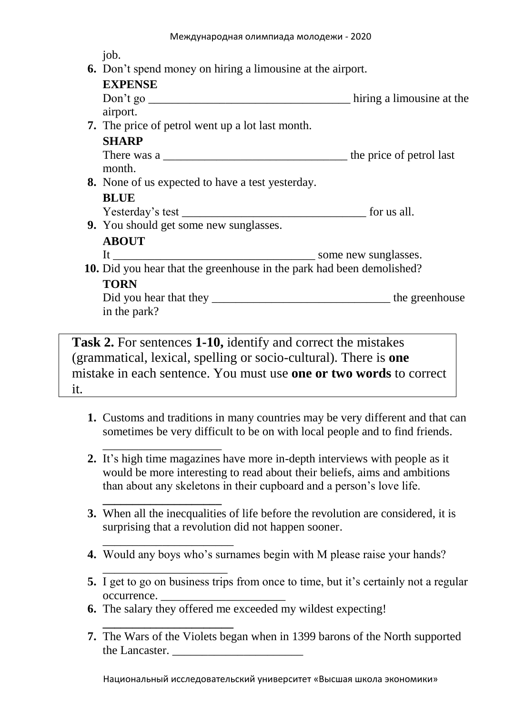job.

**6.** Don't spend money on hiring a limousine at the airport.

**EXPENSE**

- Don't go \_\_\_\_\_\_\_\_\_\_\_\_\_\_\_\_\_\_\_\_\_\_\_\_\_\_\_\_\_\_\_\_\_\_ hiring a limousine at the airport.
- **7.** The price of petrol went up a lot last month.

#### **SHARP**

There was a \_\_\_\_\_\_\_\_\_\_\_\_\_\_\_\_\_\_\_\_\_\_\_\_\_\_\_\_\_\_\_ the price of petrol last month.

**8.** None of us expected to have a test yesterday.

### **BLUE**

Yesterday's test \_\_\_\_\_\_\_\_\_\_\_\_\_\_\_\_\_\_\_\_\_\_\_\_\_\_\_\_\_\_\_ for us all.

**9.** You should get some new sunglasses. **ABOUT**

It \_\_\_\_\_\_\_\_\_\_\_\_\_\_\_\_\_\_\_\_\_\_\_\_\_\_\_\_\_\_\_\_\_\_ some new sunglasses.

**10.** Did you hear that the greenhouse in the park had been demolished? **TORN**

Did you hear that they \_\_\_\_\_\_\_\_\_\_\_\_\_\_\_\_\_\_\_\_\_\_\_\_\_\_\_\_\_\_ the greenhouse in the park?

**Task 2.** For sentences **1-10,** identify and correct the mistakes (grammatical, lexical, spelling or socio-cultural). There is **one** mistake in each sentence. You must use **one or two words** to correct it.

- **1.** Customs and traditions in many countries may be very different and that can sometimes be very difficult to be on with local people and to find friends.
- \_\_\_\_\_\_\_\_\_\_\_\_\_\_\_\_\_\_\_\_ **2.** It's high time magazines have more in-depth interviews with people as it would be more interesting to read about their beliefs, aims and ambitions than about any skeletons in their cupboard and a person's love life.
- **\_\_\_\_\_\_\_\_\_\_\_\_\_\_\_\_\_\_\_\_ 3.** When all the inecqualities of life before the revolution are considered, it is surprising that a revolution did not happen sooner.
- \_\_\_\_\_\_\_\_\_\_\_\_\_\_\_\_\_\_\_\_\_\_ **4.** Would any boys who's surnames begin with M please raise your hands?
- \_\_\_\_\_\_\_\_\_\_\_\_\_\_\_\_\_\_\_\_\_ **5.** I get to go on business trips from once to time, but it's certainly not a regular occurrence. \_\_\_\_\_\_\_\_\_\_\_\_\_\_\_\_\_\_\_\_\_
- **6.** The salary they offered me exceeded my wildest expecting!
- **\_\_\_\_\_\_\_\_\_\_\_\_\_\_\_\_\_\_\_\_\_\_ 7.** The Wars of the Violets began when in 1399 barons of the North supported the Lancaster.

Национальный исследовательский университет «Высшая школа экономики»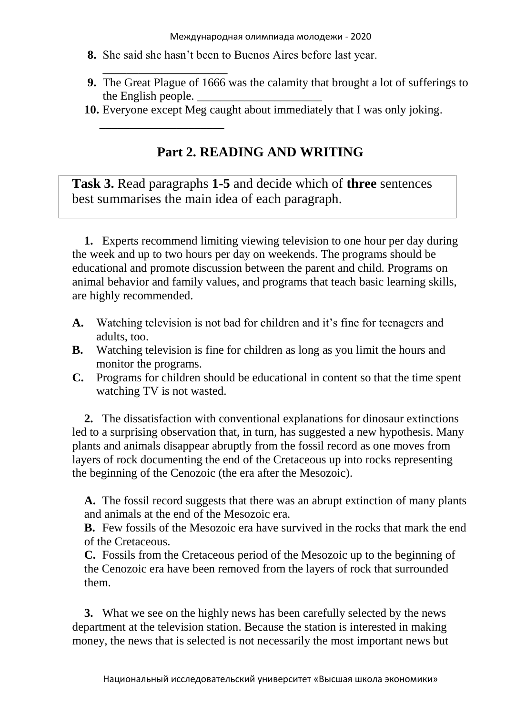**8.** She said she hasn't been to Buenos Aires before last year.

**\_\_\_\_\_\_\_\_\_\_\_\_\_\_\_\_\_\_\_\_\_**

- \_\_\_\_\_\_\_\_\_\_\_\_\_\_\_\_\_\_\_\_\_ **9.** The Great Plague of 1666 was the calamity that brought a lot of sufferings to the English people.
- **10.** Everyone except Meg caught about immediately that I was only joking.

## **Part 2. READING AND WRITING**

**Task 3.** Read paragraphs **1-5** and decide which of **three** sentences best summarises the main idea of each paragraph.

**1.** Experts recommend limiting viewing television to one hour per day during the week and up to two hours per day on weekends. The programs should be educational and promote discussion between the parent and child. Programs on animal behavior and family values, and programs that teach basic learning skills, are highly recommended.

- **A.** Watching television is not bad for children and it's fine for teenagers and adults, too.
- **B.** Watching television is fine for children as long as you limit the hours and monitor the programs.
- **C.** Programs for children should be educational in content so that the time spent watching TV is not wasted.

**2.** The dissatisfaction with conventional explanations for dinosaur extinctions led to a surprising observation that, in turn, has suggested a new hypothesis. Many plants and animals disappear abruptly from the fossil record as one moves from layers of rock documenting the end of the Cretaceous up into rocks representing the beginning of the Cenozoic (the era after the Mesozoic).

**A.** The fossil record suggests that there was an abrupt extinction of many plants and animals at the end of the Mesozoic era.

**B.** Few fossils of the Mesozoic era have survived in the rocks that mark the end of the Cretaceous.

**C.** Fossils from the Cretaceous period of the Mesozoic up to the beginning of the Cenozoic era have been removed from the layers of rock that surrounded them.

**3.** What we see on the highly news has been carefully selected by the news department at the television station. Because the station is interested in making money, the news that is selected is not necessarily the most important news but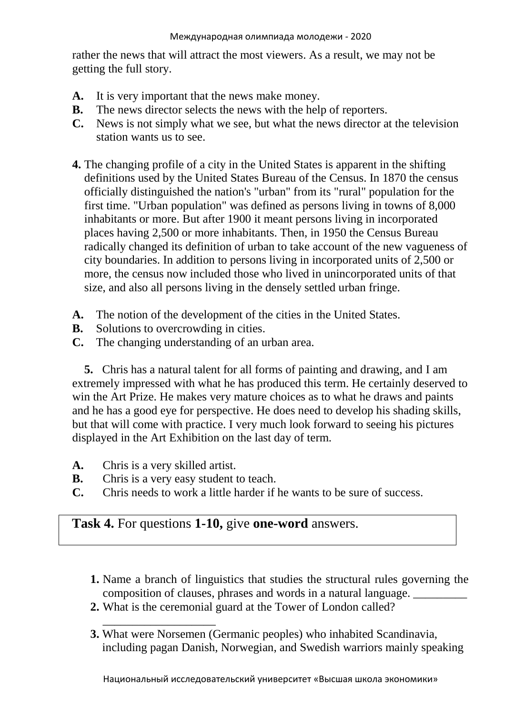rather the news that will attract the most viewers. As a result, we may not be getting the full story.

- **A.** It is very important that the news make money.
- **B.** The news director selects the news with the help of reporters.
- **C.** News is not simply what we see, but what the news director at the television station wants us to see.
- **4.** The changing profile of a city in the United States is apparent in the shifting definitions used by the United States Bureau of the Census. In 1870 the census officially distinguished the nation's "urban" from its "rural" population for the first time. "Urban population" was defined as persons living in towns of 8,000 inhabitants or more. But after 1900 it meant persons living in incorporated places having 2,500 or more inhabitants. Then, in 1950 the Census Bureau radically changed its definition of urban to take account of the new vagueness of city boundaries. In addition to persons living in incorporated units of 2,500 or more, the census now included those who lived in unincorporated units of that size, and also all persons living in the densely settled urban fringe.
- **A.** The notion of the development of the cities in the United States.
- **B.** Solutions to overcrowding in cities.
- **C.** The changing understanding of an urban area.

**5.** Chris has a natural talent for all forms of painting and drawing, and I am extremely impressed with what he has produced this term. He certainly deserved to win the Art Prize. He makes very mature choices as to what he draws and paints and he has a good eye for perspective. He does need to develop his shading skills, but that will come with practice. I very much look forward to seeing his pictures displayed in the Art Exhibition on the last day of term.

**A.** Chris is a very skilled artist.

\_\_\_\_\_\_\_\_\_\_\_\_\_\_\_\_\_\_\_

- **B.** Chris is a very easy student to teach.
- **C.** Chris needs to work a little harder if he wants to be sure of success.

### **Task 4.** For questions **1-10,** give **one-word** answers.

- **1.** Name a branch of linguistics that studies the structural rules governing the composition of clauses, phrases and words in a natural language. \_\_\_\_\_\_\_\_\_
- **2.** What is the ceremonial guard at the Tower of London called?
- **3.** What were Norsemen (Germanic peoples) who inhabited Scandinavia, including pagan Danish, Norwegian, and Swedish warriors mainly speaking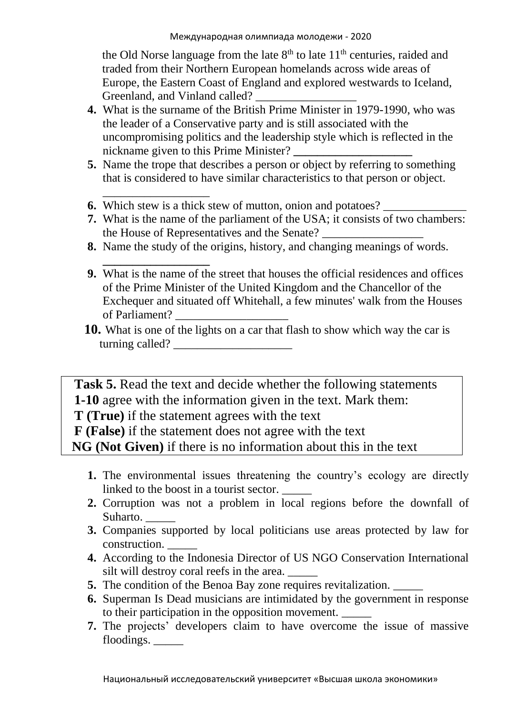the Old Norse language from the late  $8<sup>th</sup>$  to late  $11<sup>th</sup>$  centuries, raided and traded from their Northern European homelands across wide areas of Europe, the Eastern Coast of England and explored westwards to Iceland, Greenland, and Vinland called?

- **4.** What is the surname of the British Prime Minister in 1979-1990, who was the leader of a Conservative party and is still associated with the uncompromising politics and the leadership style which is reflected in the nickname given to this Prime Minister?
- **5.** Name the trope that describes a person or object by referring to something that is considered to have similar characteristics to that person or object.
- \_\_\_\_\_\_\_\_\_\_\_\_\_\_\_\_\_\_ **6.** Which stew is a thick stew of mutton, onion and potatoes?
- **7.** What is the name of the parliament of the USA; it consists of two chambers: the House of Representatives and the Senate?
- **8.** Name the study of the origins, history, and changing meanings of words.
- **\_\_\_\_\_\_\_\_\_\_\_\_\_\_\_\_\_\_ 9.** What is the name of the street that houses the official residences and offices of the Prime Minister of the United Kingdom and the Chancellor of the Exchequer and situated off Whitehall, a few minutes' walk from the Houses of Parliament?
- **10.** What is one of the lights on a car that flash to show which way the car is turning called? \_\_\_\_\_\_\_\_\_\_\_\_\_\_\_\_\_\_\_\_

**Task 5.** Read the text and decide whether the following statements **1-10** agree with the information given in the text. Mark them:

**T (True)** if the statement agrees with the text

**F (False)** if the statement does not agree with the text

**NG (Not Given)** if there is no information about this in the text

- **1.** The environmental issues threatening the country's ecology are directly linked to the boost in a tourist sector. \_\_\_\_\_
- **2.** Corruption was not a problem in local regions before the downfall of Suharto.
- **3.** Companies supported by local politicians use areas protected by law for construction. \_\_\_\_\_
- **4.** According to the Indonesia Director of US NGO Conservation International silt will destroy coral reefs in the area.
- **5.** The condition of the Benoa Bay zone requires revitalization.
- **6.** Superman Is Dead musicians are intimidated by the government in response to their participation in the opposition movement.
- **7.** The projects' developers claim to have overcome the issue of massive floodings.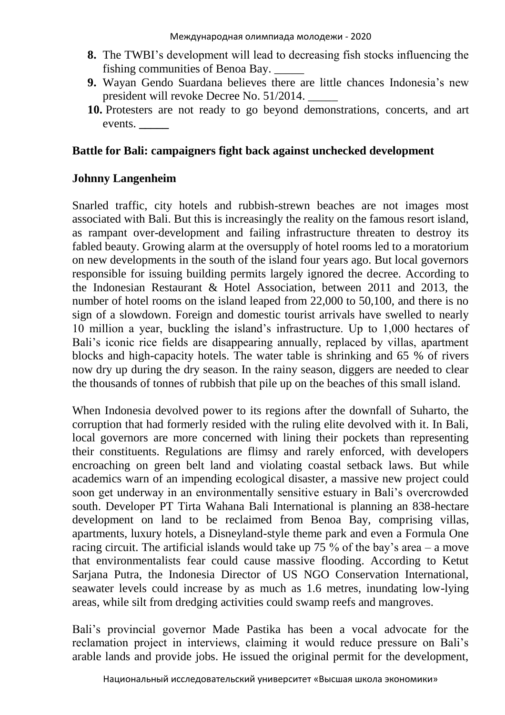- **8.** The TWBI's development will lead to decreasing fish stocks influencing the fishing communities of Benoa Bay. \_\_\_\_\_
- **9.** Wayan Gendo Suardana believes there are little chances Indonesia's new president will revoke Decree No. 51/2014.
- **10.** Protesters are not ready to go beyond demonstrations, concerts, and art events. **\_\_\_\_\_**

#### **Battle for Bali: campaigners fight back against unchecked development**

#### **Johnny Langenheim**

Snarled traffic, city hotels and rubbish-strewn beaches are not images most associated with Bali. But this is increasingly the reality on the famous resort island, as rampant over-development and failing infrastructure threaten to destroy its fabled beauty. Growing alarm at the oversupply of hotel rooms led to a moratorium on new developments in the south of the island four years ago. But local governors responsible for issuing building permits largely ignored the decree. According to the Indonesian Restaurant & Hotel Association, between 2011 and 2013, the number of hotel rooms on the island leaped from 22,000 to 50,100, and there is no sign of a slowdown. Foreign and domestic tourist arrivals have swelled to nearly 10 million a year, buckling the island's infrastructure. Up to 1,000 hectares of Bali's iconic rice fields are disappearing annually, replaced by villas, apartment blocks and high-capacity hotels. The water table is shrinking and 65 % of rivers now dry up during the dry season. In the rainy season, diggers are needed to clear the thousands of tonnes of rubbish that pile up on the beaches of this small island.

When Indonesia devolved power to its regions after the downfall of Suharto, the corruption that had formerly resided with the ruling elite devolved with it. In Bali, local governors are more concerned with lining their pockets than representing their constituents. Regulations are flimsy and rarely enforced, with developers encroaching on green belt land and violating coastal setback laws. But while academics warn of an impending ecological disaster, a massive new project could soon get underway in an environmentally sensitive estuary in Bali's overcrowded south. Developer PT Tirta Wahana Bali International is planning an 838-hectare development on land to be reclaimed from Benoa Bay, comprising villas, apartments, luxury hotels, a Disneyland-style theme park and even a Formula One racing circuit. The artificial islands would take up 75 % of the bay's area  $-$  a move that environmentalists fear could cause massive flooding. According to Ketut Sarjana Putra, the Indonesia Director of US NGO Conservation International, seawater levels could increase by as much as 1.6 metres, inundating low-lying areas, while silt from dredging activities could swamp reefs and mangroves.

Bali's provincial governor Made Pastika has been a vocal advocate for the reclamation project in interviews, claiming it would reduce pressure on Bali's arable lands and provide jobs. He issued the original permit for the development,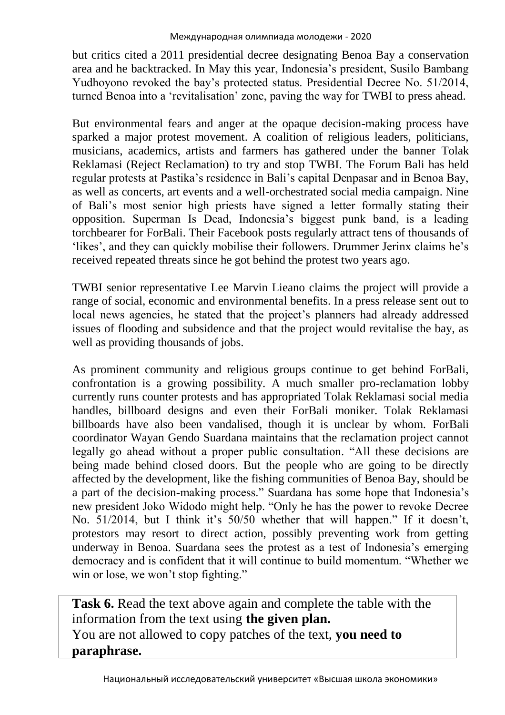but critics cited a 2011 presidential decree designating Benoa Bay a conservation area and he backtracked. In May this year, Indonesia's president, Susilo Bambang Yudhoyono revoked the bay's protected status. Presidential Decree No. 51/2014, turned Benoa into a 'revitalisation' zone, paving the way for TWBI to press ahead.

But environmental fears and anger at the opaque decision-making process have sparked a major protest movement. A coalition of religious leaders, politicians, musicians, academics, artists and farmers has gathered under the banner Tolak Reklamasi (Reject Reclamation) to try and stop TWBI. The Forum Bali has held regular protests at Pastika's residence in Bali's capital Denpasar and in Benoa Bay, as well as concerts, art events and a well-orchestrated social media campaign. Nine of Bali's most senior high priests have signed a letter formally stating their opposition. Superman Is Dead, Indonesia's biggest punk band, is a leading torchbearer for ForBali. Their Facebook posts regularly attract tens of thousands of 'likes', and they can quickly mobilise their followers. Drummer Jerinx claims he's received repeated threats since he got behind the protest two years ago.

TWBI senior representative Lee Marvin Lieano claims the project will provide a range of social, economic and environmental benefits. In a press release sent out to local news agencies, he stated that the project's planners had already addressed issues of flooding and subsidence and that the project would revitalise the bay, as well as providing thousands of jobs.

As prominent community and religious groups continue to get behind ForBali, confrontation is a growing possibility. A much smaller pro-reclamation lobby currently runs counter protests and has appropriated Tolak Reklamasi social media handles, billboard designs and even their ForBali moniker. Tolak Reklamasi billboards have also been vandalised, though it is unclear by whom. ForBali coordinator Wayan Gendo Suardana maintains that the reclamation project cannot legally go ahead without a proper public consultation. "All these decisions are being made behind closed doors. But the people who are going to be directly affected by the development, like the fishing communities of Benoa Bay, should be a part of the decision-making process." Suardana has some hope that Indonesia's new president Joko Widodo might help. "Only he has the power to revoke Decree No. 51/2014, but I think it's 50/50 whether that will happen." If it doesn't, protestors may resort to direct action, possibly preventing work from getting underway in Benoa. Suardana sees the protest as a test of Indonesia's emerging democracy and is confident that it will continue to build momentum. "Whether we win or lose, we won't stop fighting."

**Task 6.** Read the text above again and complete the table with the information from the text using **the given plan.** You are not allowed to copy patches of the text, **you need to paraphrase.**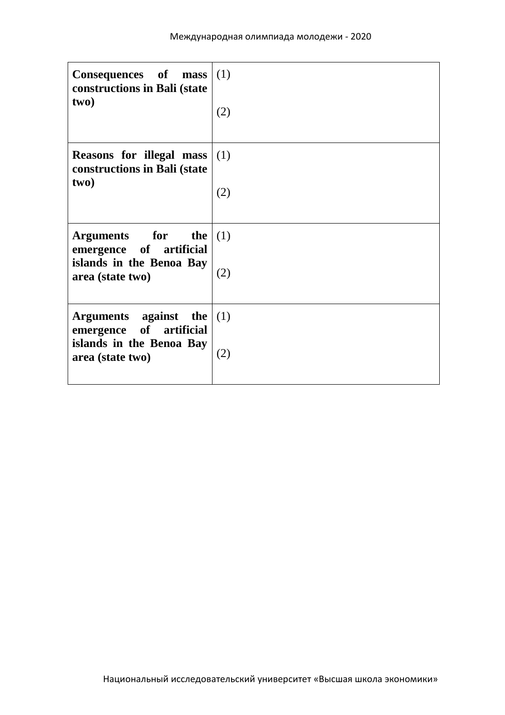| Consequences of mass<br>constructions in Bali (state<br>two) | (1) |
|--------------------------------------------------------------|-----|
|                                                              | (2) |
| Reasons for illegal mass<br>constructions in Bali (state)    | (1) |
| two)                                                         | (2) |
| <b>Arguments</b> for<br>the<br>emergence of artificial       | (1) |
| islands in the Benoa Bay<br>area (state two)                 | (2) |
| Arguments against the $ (1)$<br>emergence of artificial      |     |
| islands in the Benoa Bay<br>area (state two)                 | (2) |
|                                                              |     |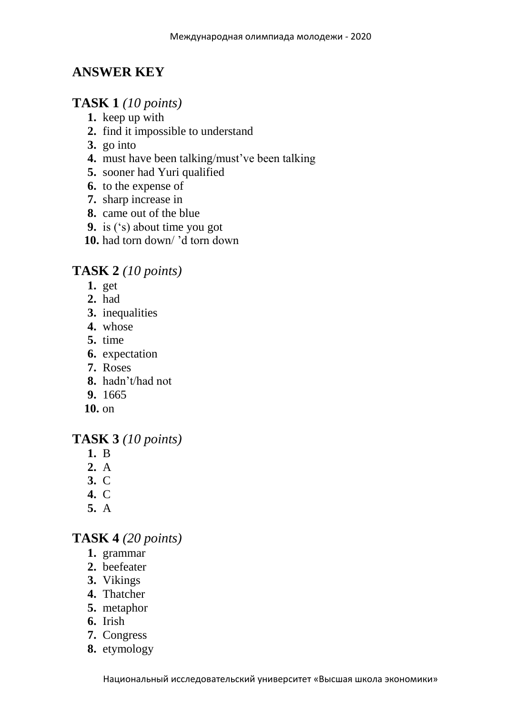### **ANSWER KEY**

### **TASK 1** *(10 points)*

- **1.** keep up with
- **2.** find it impossible to understand
- **3.** go into
- **4.** must have been talking/must've been talking
- **5.** sooner had Yuri qualified
- **6.** to the expense of
- **7.** sharp increase in
- **8.** came out of the blue
- **9.** is ('s) about time you got
- **10.** had torn down/ 'd torn down

### **TASK 2** *(10 points)*

- **1.** get
- **2.** had
- **3.** inequalities
- **4.** whose
- **5.** time
- **6.** expectation
- **7.** Roses
- **8.** hadn't/had not
- **9.** 1665
- **10.** on

#### **TASK 3** *(10 points)*

- **1.** B
- **2.** A
- **3.** C
- **4.** C
- **5.** A

### **TASK 4** *(20 points)*

- **1.** grammar
- **2.** beefeater
- **3.** Vikings
- **4.** Thatcher
- **5.** metaphor
- **6.** Irish
- **7.** Congress
- **8.** etymology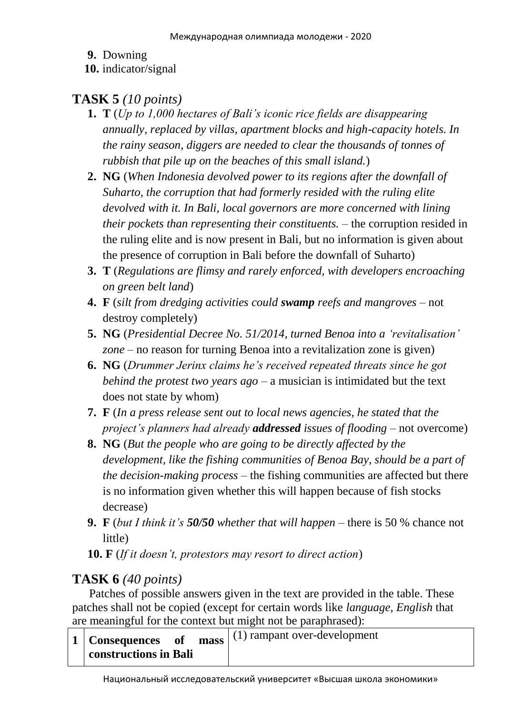- **9.** Downing
- **10.** indicator/signal

# **TASK 5** *(10 points)*

- **1. T** (*Up to 1,000 hectares of Bali's iconic rice fields are disappearing annually, replaced by villas, apartment blocks and high-capacity hotels. In the rainy season, diggers are needed to clear the thousands of tonnes of rubbish that pile up on the beaches of this small island.*)
- **2. NG** (*When Indonesia devolved power to its regions after the downfall of Suharto, the corruption that had formerly resided with the ruling elite devolved with it. In Bali, local governors are more concerned with lining their pockets than representing their constituents.* – the corruption resided in the ruling elite and is now present in Bali, but no information is given about the presence of corruption in Bali before the downfall of Suharto)
- **3. T** (*Regulations are flimsy and rarely enforced, with developers encroaching on green belt land*)
- **4. F** (*silt from dredging activities could swamp reefs and mangroves –* not destroy completely)
- **5. NG** (*Presidential Decree No. 51/2014, turned Benoa into a 'revitalisation' zone* – no reason for turning Benoa into a revitalization zone is given)
- **6. NG** (*Drummer Jerinx claims he's received repeated threats since he got behind the protest two years ago* – a musician is intimidated but the text does not state by whom)
- **7. F** (*In a press release sent out to local news agencies, he stated that the project's planners had already addressed issues of flooding –* not overcome)
- **8. NG** (*But the people who are going to be directly affected by the development, like the fishing communities of Benoa Bay, should be a part of the decision-making process* – the fishing communities are affected but there is no information given whether this will happen because of fish stocks decrease)
- **9. F** (*but I think it's 50/50 whether that will happen* there is 50 % chance not little)
- **10. F** (*If it doesn't, protestors may resort to direct action*)

# **TASK 6** *(40 points)*

 Patches of possible answers given in the text are provided in the table. These patches shall not be copied (except for certain words like *language, English* that are meaningful for the context but might not be paraphrased):

| 1   Consequences<br>of | $\boldsymbol{\text{mass}}$ (1) rampant over-development |
|------------------------|---------------------------------------------------------|
| constructions in Bali  |                                                         |